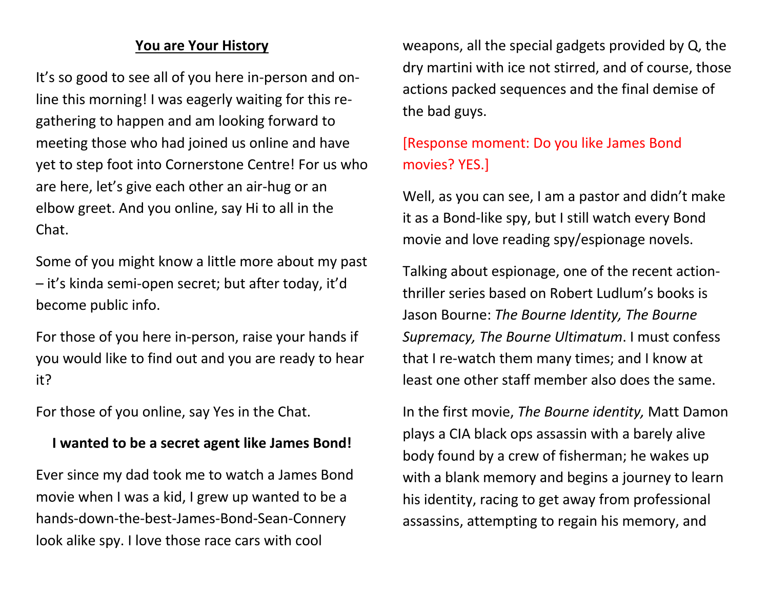### **You are Your History**

It's so good to see all of you here in-person and online this morning! I was eagerly waiting for this regathering to happen and am looking forward to meeting those who had joined us online and have yet to step foot into Cornerstone Centre! For us who are here, let's give each other an air-hug or an elbow greet. And you online, say Hi to all in the Chat.

Some of you might know a little more about my past – it's kinda semi-open secret; but after today, it'd become public info.

For those of you here in-person, raise your hands if you would like to find out and you are ready to hear it?

For those of you online, say Yes in the Chat.

#### **I wanted to be a secret agent like James Bond!**

Ever since my dad took me to watch a James Bond movie when I was a kid, I grew up wanted to be a hands-down-the-best-James-Bond-Sean-Connery look alike spy. I love those race cars with cool

weapons, all the special gadgets provided by Q, the dry martini with ice not stirred, and of course, those actions packed sequences and the final demise of the bad guys.

# [Response moment: Do you like James Bond movies? YES.]

Well, as you can see, I am a pastor and didn't make it as a Bond-like spy, but I still watch every Bond movie and love reading spy/espionage novels.

Talking about espionage, one of the recent actionthriller series based on Robert Ludlum's books is Jason Bourne: *The Bourne Identity, The Bourne Supremacy, The Bourne Ultimatum*. I must confess that I re-watch them many times; and I know at least one other staff member also does the same.

In the first movie, *The Bourne identity,* Matt Damon plays a CIA black ops assassin with a barely alive body found by a crew of fisherman; he wakes up with a blank memory and begins a journey to learn his identity, racing to get away from professional assassins, attempting to regain his memory, and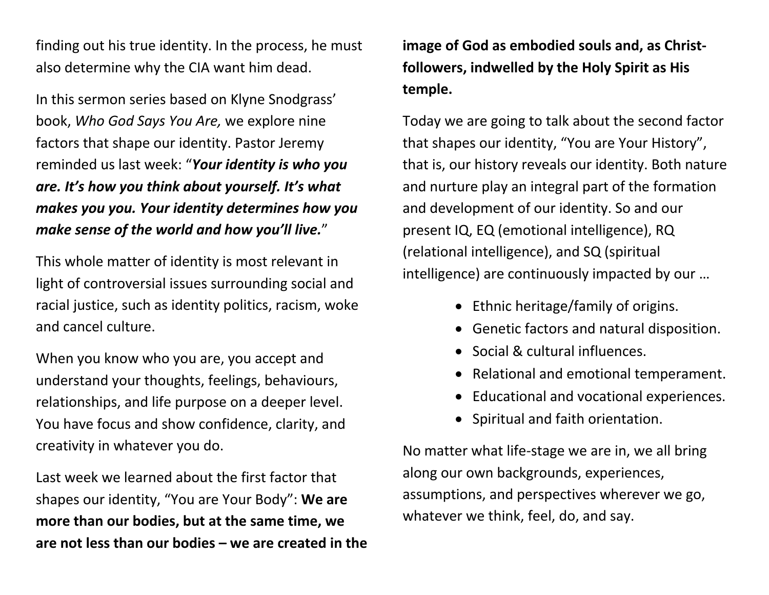finding out his true identity. In the process, he must also determine why the CIA want him dead.

In this sermon series based on Klyne Snodgrass' book, *Who God Says You Are,* we explore nine factors that shape our identity. Pastor Jeremy reminded us last week: "*Your identity is who you are. It's how you think about yourself. It's what makes you you. Your identity determines how you make sense of the world and how you'll live.*"

This whole matter of identity is most relevant in light of controversial issues surrounding social and racial justice, such as identity politics, racism, woke and cancel culture.

When you know who you are, you accept and understand your thoughts, feelings, behaviours, relationships, and life purpose on a deeper level. You have focus and show confidence, clarity, and creativity in whatever you do.

Last week we learned about the first factor that shapes our identity, "You are Your Body": **We are more than our bodies, but at the same time, we are not less than our bodies – we are created in the** 

**image of God as embodied souls and, as Christfollowers, indwelled by the Holy Spirit as His temple.**

Today we are going to talk about the second factor that shapes our identity, "You are Your History", that is, our history reveals our identity. Both nature and nurture play an integral part of the formation and development of our identity. So and our present IQ, EQ (emotional intelligence), RQ (relational intelligence), and SQ (spiritual intelligence) are continuously impacted by our …

- Ethnic heritage/family of origins.
- Genetic factors and natural disposition.
- Social & cultural influences.
- Relational and emotional temperament.
- Educational and vocational experiences.
- Spiritual and faith orientation.

No matter what life-stage we are in, we all bring along our own backgrounds, experiences, assumptions, and perspectives wherever we go, whatever we think, feel, do, and say.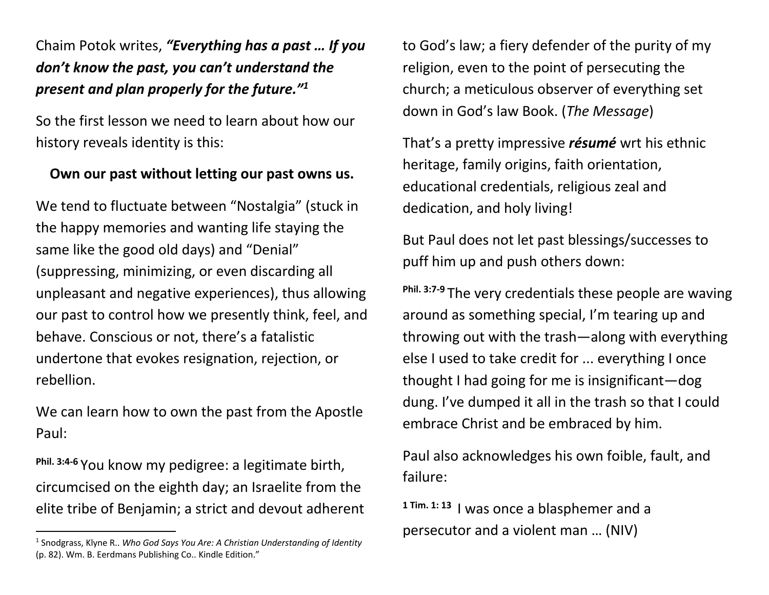# Chaim Potok writes, *"Everything has a past … If you don't know the past, you can't understand the present and plan properly for the future."1*

So the first lesson we need to learn about how our history reveals identity is this:

### **Own our past without letting our past owns us.**

We tend to fluctuate between "Nostalgia" (stuck in the happy memories and wanting life staying the same like the good old days) and "Denial" (suppressing, minimizing, or even discarding all unpleasant and negative experiences), thus allowing our past to control how we presently think, feel, and behave. Conscious or not, there's a fatalistic undertone that evokes resignation, rejection, or rebellion.

We can learn how to own the past from the Apostle Paul:

**Phil. 3:4-6** You know my pedigree: a legitimate birth, circumcised on the eighth day; an Israelite from the elite tribe of Benjamin; a strict and devout adherent to God's law; a fiery defender of the purity of my religion, even to the point of persecuting the church; a meticulous observer of everything set down in God's law Book. (*The Message*)

That's a pretty impressive *résumé* wrt his ethnic heritage, family origins, faith orientation, educational credentials, religious zeal and dedication, and holy living!

But Paul does not let past blessings/successes to puff him up and push others down:

**Phil. 3:7-9** The very credentials these people are waving around as something special, I'm tearing up and throwing out with the trash—along with everything else I used to take credit for ... everything I once thought I had going for me is insignificant—dog dung. I've dumped it all in the trash so that I could embrace Christ and be embraced by him.

Paul also acknowledges his own foible, fault, and failure:

**1 Tim. 1: <sup>13</sup>** I was once a blasphemer and a persecutor and a violent man … (NIV)

<sup>1</sup> Snodgrass, Klyne R.. *Who God Says You Are: A Christian Understanding of Identity* (p. 82). Wm. B. Eerdmans Publishing Co.. Kindle Edition."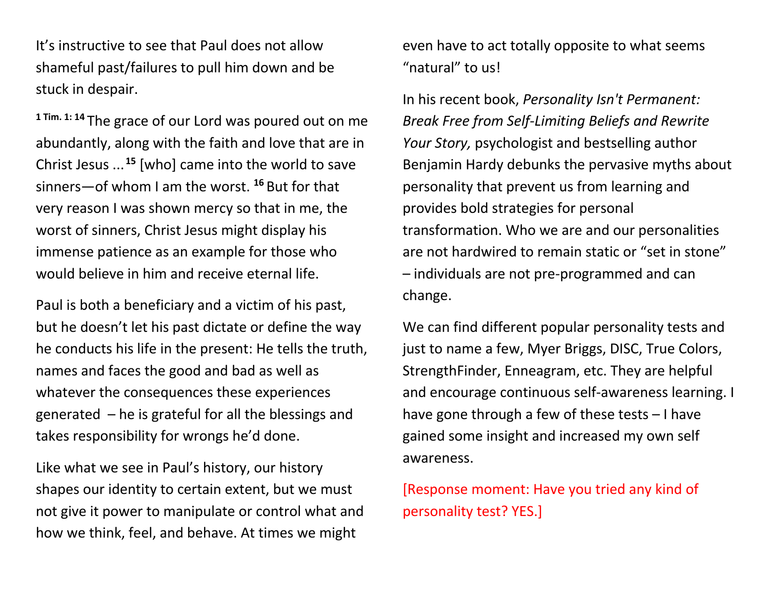It's instructive to see that Paul does not allow shameful past/failures to pull him down and be stuck in despair.

**1 Tim. 1: <sup>14</sup>** The grace of our Lord was poured out on me abundantly, along with the faith and love that are in Christ Jesus ... **<sup>15</sup>** [who] came into the world to save sinners—of whom I am the worst. **<sup>16</sup>** But for that very reason I was shown mercy so that in me, the worst of sinners, Christ Jesus might display his immense patience as an example for those who would believe in him and receive eternal life.

Paul is both a beneficiary and a victim of his past, but he doesn't let his past dictate or define the way he conducts his life in the present: He tells the truth, names and faces the good and bad as well as whatever the consequences these experiences generated – he is grateful for all the blessings and takes responsibility for wrongs he'd done.

Like what we see in Paul's history, our history shapes our identity to certain extent, but we must not give it power to manipulate or control what and how we think, feel, and behave. At times we might

even have to act totally opposite to what seems "natural" to us!

In his recent book, *Personality Isn't Permanent: Break Free from Self-Limiting Beliefs and Rewrite Your Story,* psychologist and bestselling author Benjamin Hardy debunks the pervasive myths about personality that prevent us from learning and provides bold strategies for personal transformation. Who we are and our personalities are not hardwired to remain static or "set in stone" – individuals are not pre-programmed and can change.

We can find different popular personality tests and just to name a few, Myer Briggs, DISC, True Colors, StrengthFinder, Enneagram, etc. They are helpful and encourage continuous self-awareness learning. I have gone through a few of these tests – I have gained some insight and increased my own self awareness.

[Response moment: Have you tried any kind of personality test? YES.]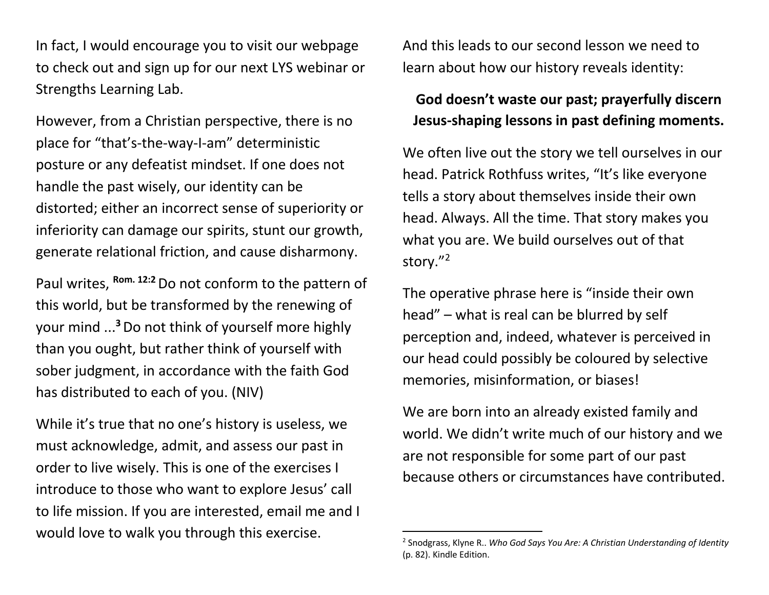In fact, I would encourage you to visit our webpage to check out and sign up for our next LYS webinar or Strengths Learning Lab.

However, from a Christian perspective, there is no place for "that's-the-way-I-am" deterministic posture or any defeatist mindset. If one does not handle the past wisely, our identity can be distorted; either an incorrect sense of superiority or inferiority can damage our spirits, stunt our growth, generate relational friction, and cause disharmony.

Paul writes, **Rom. 12:2**Do not conform to the pattern of this world, but be transformed by the renewing of your mind ... **<sup>3</sup>**Do not think of yourself more highly than you ought, but rather think of yourself with sober judgment, in accordance with the faith God has distributed to each of you. (NIV)

While it's true that no one's history is useless, we must acknowledge, admit, and assess our past in order to live wisely. This is one of the exercises I introduce to those who want to explore Jesus' call to life mission. If you are interested, email me and I would love to walk you through this exercise.

And this leads to our second lesson we need to learn about how our history reveals identity:

### **God doesn't waste our past; prayerfully discern Jesus-shaping lessons in past defining moments.**

We often live out the story we tell ourselves in our head. Patrick Rothfuss writes, "It's like everyone tells a story about themselves inside their own head. Always. All the time. That story makes you what you are. We build ourselves out of that story."2

The operative phrase here is "inside their own head" – what is real can be blurred by self perception and, indeed, whatever is perceived in our head could possibly be coloured by selective memories, misinformation, or biases!

We are born into an already existed family and world. We didn't write much of our history and we are not responsible for some part of our past because others or circumstances have contributed.

<sup>2</sup> Snodgrass, Klyne R.. *Who God Says You Are: A Christian Understanding of Identity* (p. 82). Kindle Edition.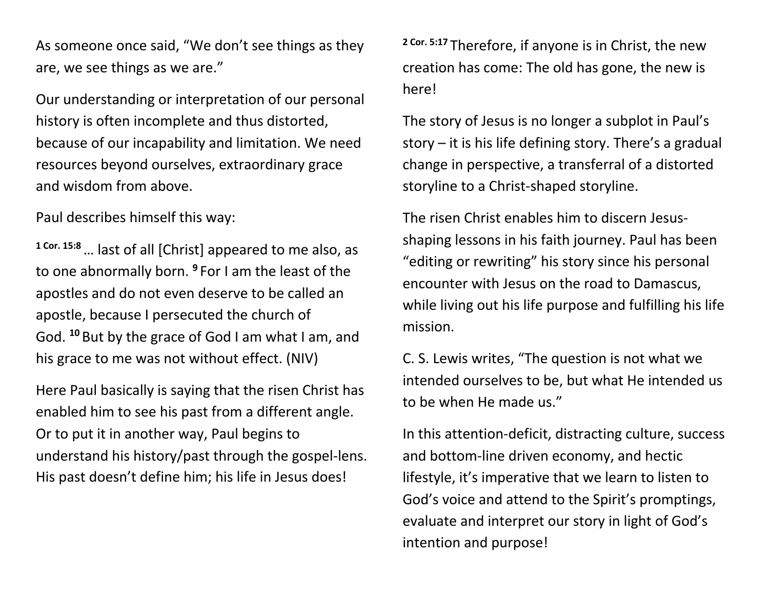As someone once said, "We don't see things as they are, we see things as we are."

Our understanding or interpretation of our personal history is often incomplete and thus distorted, because of our incapability and limitation. We need resources beyond ourselves, extraordinary grace and wisdom from above.

Paul describes himself this way:

**1 Cor. 15:8**… last of all [Christ] appeared to me also, as to one abnormally born. **<sup>9</sup>** For I am the least of the apostles and do not even deserve to be called an apostle, because I persecuted the church of God. **<sup>10</sup>** But by the grace of God I am what I am, and his grace to me was not without effect. (NIV)

Here Paul basically is saying that the risen Christ has enabled him to see his past from a different angle. Or to put it in another way, Paul begins to understand his history/past through the gospel-lens. His past doesn't define him; his life in Jesus does!

**2 Cor. 5:17** Therefore, if anyone is in Christ, the new creation has come: The old has gone, the new is here!

The story of Jesus is no longer a subplot in Paul's story – it is his life defining story. There's a gradual change in perspective, a transferral of a distorted storyline to a Christ-shaped storyline.

The risen Christ enables him to discern Jesusshaping lessons in his faith journey. Paul has been "editing or rewriting" his story since his personal encounter with Jesus on the road to Damascus, while living out his life purpose and fulfilling his life mission.

C. S. Lewis writes, "The question is not what we intended ourselves to be, but what He intended us to be when He made us."

In this attention-deficit, distracting culture, success and bottom-line driven economy, and hectic lifestyle, it's imperative that we learn to listen to God's voice and attend to the Spirit's promptings, evaluate and interpret our story in light of God's intention and purpose!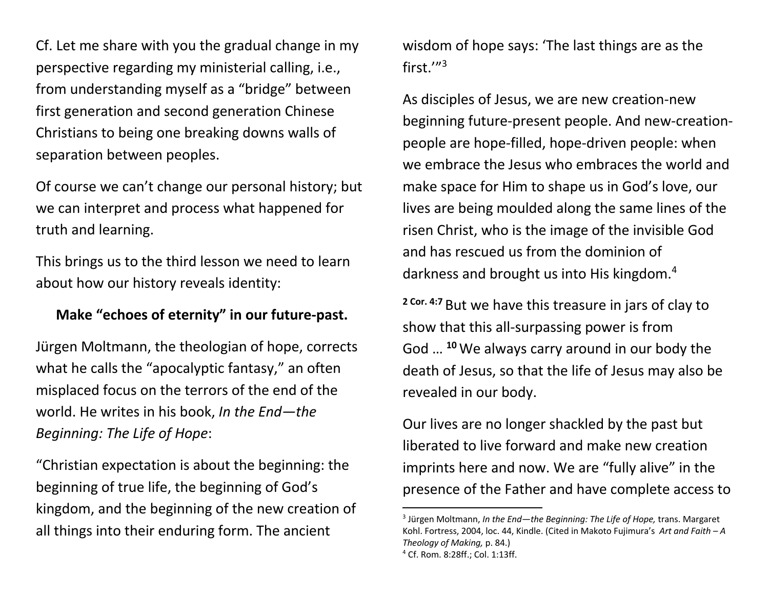Cf. Let me share with you the gradual change in my perspective regarding my ministerial calling, i.e., from understanding myself as a "bridge" between first generation and second generation Chinese Christians to being one breaking downs walls of separation between peoples.

Of course we can't change our personal history; but we can interpret and process what happened for truth and learning.

This brings us to the third lesson we need to learn about how our history reveals identity:

### **Make "echoes of eternity" in our future-past.**

Jürgen Moltmann, the theologian of hope, corrects what he calls the "apocalyptic fantasy," an often misplaced focus on the terrors of the end of the world. He writes in his book, *In the End—the Beginning: The Life of Hope*:

"Christian expectation is about the beginning: the beginning of true life, the beginning of God's kingdom, and the beginning of the new creation of all things into their enduring form. The ancient

wisdom of hope says: 'The last things are as the first.'"3

As disciples of Jesus, we are new creation-new beginning future-present people. And new-creationpeople are hope-filled, hope-driven people: when we embrace the Jesus who embraces the world and make space for Him to shape us in God's love, our lives are being moulded along the same lines of the risen Christ, who is the image of the invisible God and has rescued us from the dominion of darkness and brought us into His kingdom.<sup>4</sup>

**2 Cor. 4:7** But we have this treasure in jars of clay to show that this all-surpassing power is from God … **<sup>10</sup>**We always carry around in our body the death of Jesus, so that the life of Jesus may also be revealed in our body.

Our lives are no longer shackled by the past but liberated to live forward and make new creation imprints here and now. We are "fully alive" in the presence of the Father and have complete access to

<sup>3</sup> Jürgen Moltmann, *In the End—the Beginning: The Life of Hope,* trans. Margaret Kohl. Fortress, 2004, loc. 44, Kindle. (Cited in Makoto Fujimura's *Art and Faith – A Theology of Making,* p. 84.) <sup>4</sup> Cf. Rom. 8:28ff.; Col. 1:13ff.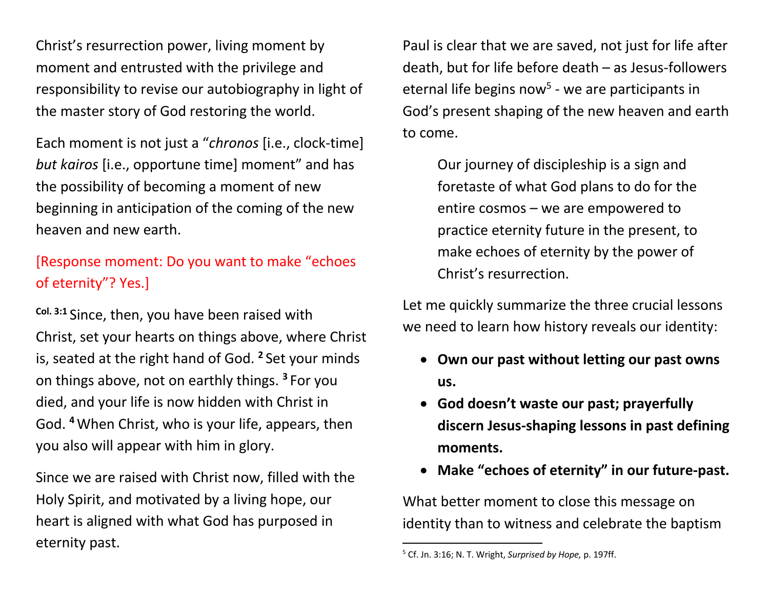Christ's resurrection power, living moment by moment and entrusted with the privilege and responsibility to revise our autobiography in light of the master story of God restoring the world.

Each moment is not just a "*chronos* [i.e., clock-time] *but kairos* [i.e., opportune time] moment" and has the possibility of becoming a moment of new beginning in anticipation of the coming of the new heaven and new earth.

# [Response moment: Do you want to make "echoes of eternity"? Yes.]

**Col. 3:1** Since, then, you have been raised with Christ, set your hearts on things above, where Christ is, seated at the right hand of God. **<sup>2</sup>** Set your minds on things above, not on earthly things. **<sup>3</sup>** For you died, and your life is now hidden with Christ in God. **<sup>4</sup>**When Christ, who is your life, appears, then you also will appear with him in glory.

Since we are raised with Christ now, filled with the Holy Spirit, and motivated by a living hope, our heart is aligned with what God has purposed in eternity past.

Paul is clear that we are saved, not just for life after death, but for life before death – as Jesus-followers eternal life begins now<sup>5</sup> - we are participants in God's present shaping of the new heaven and earth to come.

Our journey of discipleship is a sign and foretaste of what God plans to do for the entire cosmos – we are empowered to practice eternity future in the present, to make echoes of eternity by the power of Christ's resurrection.

Let me quickly summarize the three crucial lessons we need to learn how history reveals our identity:

- **Own our past without letting our past owns us.**
- **God doesn't waste our past; prayerfully discern Jesus-shaping lessons in past defining moments.**
- **Make "echoes of eternity" in our future-past.**

What better moment to close this message on identity than to witness and celebrate the baptism

<sup>5</sup> Cf. Jn. 3:16; N. T. Wright, *Surprised by Hope,* p. 197ff.